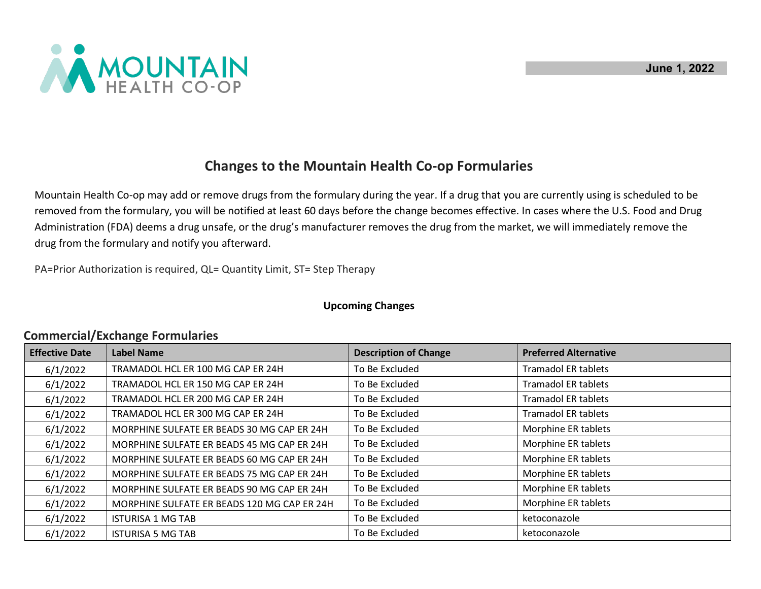

## **Changes to the Mountain Health Co-op Formularies**

Mountain Health Co-op may add or remove drugs from the formulary during the year. If a drug that you are currently using is scheduled to be removed from the formulary, you will be notified at least 60 days before the change becomes effective. In cases where the U.S. Food and Drug Administration (FDA) deems a drug unsafe, or the drug's manufacturer removes the drug from the market, we will immediately remove the drug from the formulary and notify you afterward.

PA=Prior Authorization is required, QL= Quantity Limit, ST= Step Therapy

## **Upcoming Changes**

## **Commercial/Exchange Formularies**

| <b>Effective Date</b> | <b>Label Name</b>                           | <b>Description of Change</b> | <b>Preferred Alternative</b> |
|-----------------------|---------------------------------------------|------------------------------|------------------------------|
| 6/1/2022              | TRAMADOL HCL ER 100 MG CAP ER 24H           | To Be Excluded               | <b>Tramadol ER tablets</b>   |
| 6/1/2022              | TRAMADOL HCL ER 150 MG CAP ER 24H           | To Be Excluded               | <b>Tramadol ER tablets</b>   |
| 6/1/2022              | TRAMADOL HCL ER 200 MG CAP ER 24H           | To Be Excluded               | <b>Tramadol ER tablets</b>   |
| 6/1/2022              | TRAMADOL HCL ER 300 MG CAP ER 24H           | To Be Excluded               | <b>Tramadol ER tablets</b>   |
| 6/1/2022              | MORPHINE SULFATE ER BEADS 30 MG CAP ER 24H  | To Be Excluded               | Morphine ER tablets          |
| 6/1/2022              | MORPHINE SULFATE ER BEADS 45 MG CAP ER 24H  | To Be Excluded               | Morphine ER tablets          |
| 6/1/2022              | MORPHINE SULFATE ER BEADS 60 MG CAP ER 24H  | To Be Excluded               | Morphine ER tablets          |
| 6/1/2022              | MORPHINE SULFATE ER BEADS 75 MG CAP ER 24H  | To Be Excluded               | Morphine ER tablets          |
| 6/1/2022              | MORPHINE SULFATE ER BEADS 90 MG CAP ER 24H  | To Be Excluded               | Morphine ER tablets          |
| 6/1/2022              | MORPHINE SULFATE ER BEADS 120 MG CAP ER 24H | To Be Excluded               | Morphine ER tablets          |
| 6/1/2022              | <b>ISTURISA 1 MG TAB</b>                    | To Be Excluded               | ketoconazole                 |
| 6/1/2022              | <b>ISTURISA 5 MG TAB</b>                    | To Be Excluded               | ketoconazole                 |